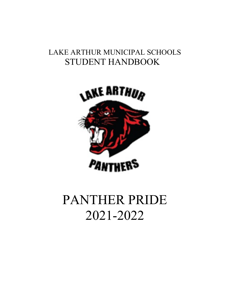# LAKE ARTHUR MUNICIPAL SCHOOLS STUDENT HANDBOOK



# PANTHER PRIDE 2021-2022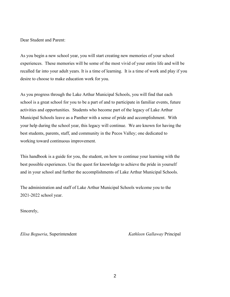Dear Student and Parent:

As you begin a new school year, you will start creating new memories of your school experiences. These memories will be some of the most vivid of your entire life and will be recalled far into your adult years. It is a time of learning. It is a time of work and play if you desire to choose to make education work for you.

As you progress through the Lake Arthur Municipal Schools, you will find that each school is a great school for you to be a part of and to participate in familiar events, future activities and opportunities. Students who become part of the legacy of Lake Arthur Municipal Schools leave as a Panther with a sense of pride and accomplishment. With your help during the school year, this legacy will continue. We are known for having the best students, parents, staff, and community in the Pecos Valley; one dedicated to working toward continuous improvement.

This handbook is a guide for you, the student, on how to continue your learning with the best possible experiences. Use the quest for knowledge to achieve the pride in yourself and in your school and further the accomplishments of Lake Arthur Municipal Schools.

The administration and staff of Lake Arthur Municipal Schools welcome you to the 2021-2022 school year.

Sincerely,

*Elisa Begueria*, Superintendent *Kathleen Gallaway* Principal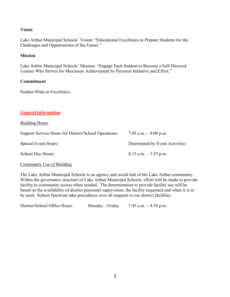# **Vision**

Lake Arthur Municipal Schools' Vision: "Educational Excellence to Prepare Students for the Challenges and Opportunities of the Future."

#### **Mission**

Lake Arthur Municipal Schools' Mission: "Engage Each Student to Become a Self-Directed Learner Who Strives for Maximum Achievement by Personal Initiative and Effort."

#### **Commitment**

Panther Pride in Excellence.

# **General Information**

Building Hours

| Support Service Hours for District/School Operations: | 7:45 a.m. $-4:00$ p.m.         |
|-------------------------------------------------------|--------------------------------|
| Special Event Hours:                                  | Determined by Event Activities |
| <b>School Day Hours:</b>                              | $8:15$ a.m. $-3:25$ p.m.       |

#### Community Use of Building

The Lake Arthur Municipal Schools is an agency and social hub of the Lake Arthur community. Within the governance structure of Lake Arthur Municipal Schools, effort will be made to provide facility to community access when needed. The determination to provide facility use will be based on the availability of district personnel supervision, the facility requested and when it is to be used. School functions take precedence over all requests to use district facilities.

| District/School Office Hours | $Monday-Friday$ | 7:45 a.m. $-4:30$ p.m. |
|------------------------------|-----------------|------------------------|
|------------------------------|-----------------|------------------------|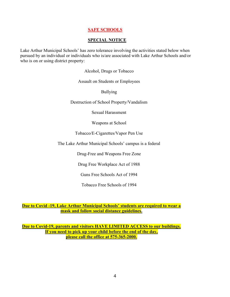# **SAFE SCHOOLS**

#### **SPECIAL NOTICE**

Lake Arthur Municipal Schools' has zero tolerance involving the activities stated below when pursued by an individual or individuals who is/are associated with Lake Arthur Schools and/or who is on or using district property:

Alcohol, Drugs or Tobacco

Assault on Students or Employees

Bullying

Destruction of School Property/Vandalism

Sexual Harassment

Weapons at School

Tobacco/E-Cigarettes/Vapor Pen Use

The Lake Arthur Municipal Schools' campus is a federal

Drug-Free and Weapons Free Zone

Drug Free Workplace Act of 1988

Guns Free Schools Act of 1994

Tobacco Free Schools of 1994

#### **Due to Covid -19, Lake Arthur Municipal Schools' students are required to wear a mask and follow social distance guidelines.**

**Due to Covid-19, parents and visitors HAVE LIMITED ACCESS to our buildings. If you need to pick up your child before the end of the day, please call the office at 575-365-2000.**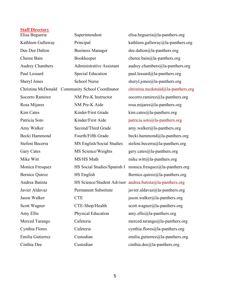#### **Staff Directory**

Elisa Begueria Superintendent elisa.begueria@la-panthers.org Kathleen Gallaway Principal kathleen.gallaway@la-panthers.org Dee Dee Dalton Business Manager dee.dalton@la-panthers.org Cheree Bain Bookkeeper cheree.bain@la-panthers.org Audrey Chambers Administrative Assistant audrey.chambers@la-panthers.org Paul Lessard Special Education paul.lessard@la-panthers.org Sheryl Jones School Nurse sheryl.jones@la-panthers.org Christina McDonald Community School Coordinator [christina.mcdonald@la-panthers.org](mailto:christina.mcdonald@la-panthers.org) Socorro Ramirez MM Pre-K Instructor socorro.ramirez@la-panthers.org Rosa Mijares NM Pre-K Aide rosa.mijares@la-panthers.org Kim Cates Kinder/First Grade kim.cates@la-panthers.org Patricia Soto Kinder/First Aide [patricia.soto@la-panthers.org](mailto:patricia.soto@la-panthers.org) Amy Walker Second/Third Grade amy.walker@la-panthers.org Becki Hammond Fourth/Fifth Grade becki.hammond@la-panthers.org Stefeni Becerra MS English/Social Studies stefeni.becerra@la-panthers.org Gary Cates MS Science/Weights gery.cates@la-panthers.org Mike Witt MS/HS Math mike.witt@la-panthers.org Monica Fresquez HS Social Studies/Spanish I monica.fresquez@la-panthers.org Bernice Quiroz **HS English** Bernice.quiroz@la-panthers.org Andrea Batista HS Science/Student Advisor [andrea.batista@la-panthers.org](mailto:andrea.batista@la-panthers.org) Javier Aldavaz Permanent Substitute javier.aldavaz@la-panthers.org Jason Walker CTE crue jason.walker@la-panthers.org Scott Wagner **CTE-Shop/Health** scott.wagner@la-panthers.org Amy Ellis Physical Education amy.ellis@la-panthers.org Merced Tarango Cafeteria merced.tarango@la-panthers.org Cynthia Flores Cafeteria cynthia.flores@la-panthers.org Emilia Gutierrez Custodian emilia.gutierrez@la-panthers.org Cinthia Dee Custodian Custodian cinthia.dee@la-panthers.org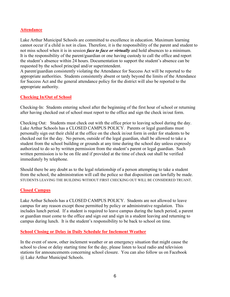# **Attendance**

Lake Arthur Municipal Schools are committed to excellence in education. Maximum learning cannot occur if a child is not in class. Therefore, it is the responsibility of the parent and student to not miss school when it is in session *face to face or virtually* and hold absences to a minimum. It is the responsibility of the parent/guardian or one having custody to call the office and report the student's absence within 24 hours. Documentation to support the student's absence can be requested by the school principal and/or superintendent.

A parent/guardian consistently violating the Attendance for Success Act will be reported to the appropriate authorities. Students consistently absent or tardy beyond the limits of the Attendance for Success Act and the general attendance policy for the district will also be reported to the appropriate authority.

# **Checking In/Out of School**

Checking-In: Students entering school after the beginning of the first hour of school or returning after having checked out of school must report to the office and sign the check in/out form.

Checking Out: Students must check out with the office prior to leaving school during the day. Lake Arthur Schools has a CLOSED CAMPUS POLICY. Parents or legal guardians must personally sign out their child at the office on the check in/out form in order for students to be checked out for the day. No person, outside of the legal guardian, shall be allowed to take a student from the school building or grounds at any time during the school day unless expressly authorized to do so by written permission from the student's parent or legal guardian. Such written permission is to be on file and if provided at the time of check out shall be verified immediately by telephone.

Should there be any doubt as to the legal relationship of a person attempting to take a student from the school, the administration will call the police so that disposition can lawfully be made. STUDENTS LEAVING THE BUILDING WITHOUT FIRST CHECKING OUT WILL BE CONSIDERED TRUANT.

#### **Closed Campus**

Lake Arthur Schools has a CLOSED CAMPUS POLICY. Students are not allowed to leave campus for any reason except those permitted by policy or administrative regulation. This includes lunch period. If a student is required to leave campus during the lunch period, a parent or guardian must come to the office and sign out and sign in a student leaving and returning to campus during lunch. It is the student's responsibility to be back to school on time.

#### **School Closing or Delay in Daily Schedule for Inclement Weather**

In the event of snow, other inclement weather or an emergency situation that might cause the school to close or delay starting time for the day, please listen to local radio and television stations for announcements concerning school closure. You can also follow us on Facebook @ Lake Arthur Municipal Schools.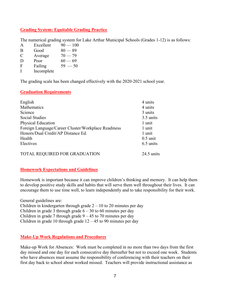# **Grading System: Equitable Grading Practice**

The numerical grading system for Lake Arthur Municipal Schools (Grades 1-12) is as follows:

- A Excellent  $90-100$
- $B$  Good  $80 89$
- C Average  $70-79$
- D Poor  $60 69$
- $F$  Failing  $59 50$
- I Incomplete

The grading scale has been changed effectively with the 2020-2021 school year.

# **Graduation Requirements**

| English                                             | 4 units      |
|-----------------------------------------------------|--------------|
| Mathematics                                         | 4 units      |
| Science                                             | 3 units      |
| <b>Social Studies</b>                               | 3.5 units    |
| <b>Physical Education</b>                           | 1 unit       |
| Foreign Language/Career Cluster/Workplace Readiness | 1 unit       |
| Honors/Dual Credit/AP Distance Ed.                  | 1 unit       |
| Health                                              | $0.5$ unit   |
| Electives                                           | 6.5 units    |
| TOTAL REQUIRED FOR GRADUATION                       | $24.5$ units |

# **Homework Expectations and Guidelines**

Homework is important because it can improve children's thinking and memory. It can help them to develop positive study skills and habits that will serve them well throughout their lives. It can encourage them to use time well, to learn independently and to take responsibility for their work.

General guidelines are: Children in kindergarten through grade  $2 - 10$  to 20 minutes per day Children in grade 3 through grade  $6 - 30$  to 60 minutes per day Children in grade 7 through grade  $9 - 45$  to 70 minutes per day Children in grade 10 through grade  $12 - 45$  to 90 minutes per day

# **Make-Up Work Regulations and Procedures**

Make-up Work for Absences: Work must be completed in no more than two days from the first day missed and one day for each consecutive day thereafter but not to exceed one week. Students who have absences must assume the responsibility of conferencing with their teachers on their first day back to school about worked missed. Teachers will provide instructional assistance as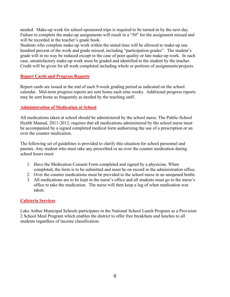needed. Make-up work for school-sponsored trips is required to be turned-in by the next day. Failure to complete the make-up assignments will result in a "50" for the assignment missed and will be recorded in the teacher's grade book.

Students who complete make-up work within the stated time will be allowed to make-up one hundred percent of the work and grade missed, including "participation grades". The student's grade will in no way be reduced except in the case of poor quality or late make-up work. In such case, unsatisfactory make-up work must be graded and identified to the student by the teacher. Credit will be given for all work completed including whole or portions of assignments/projects.

# **Report Cards and Progress Reports**

Report cards are issued at the end of each 9-week grading period as indicated on the school calendar. Mid-term progress reports are sent home each nine weeks. Additional progress reports may be sent home as frequently as needed by the teaching staff.

# **Administration of Medication at School**

All medications taken at school should be administered by the school nurse. The Public-School Health Manual, 2011-2012, requires that all medications administered by the school nurse must be accompanied by a signed completed medical form authorizing the use of a prescription or an over the counter medication.

The following set of guidelines is provided to clarify this situation for school personnel and parents. Any student who must take any prescribed or an over the counter medication during school hours must:

- 1. Have the Medication Consent Form completed and signed by a physician. When completed, the form is to be submitted and must be on record in the administration office.
- 2. Over the counter medications must be provided to the school nurse in an unopened bottle.
- 3. All medications are to be kept in the nurse's office and all students must go to the nurse's office to take the medication. The nurse will then keep a log of when medication was taken.

# **Cafeteria Services**

Lake Arthur Municipal Schools participates in the National School Lunch Program as a Provision 2 School Meal Program which enables the district to offer free breakfasts and lunches to all students regardless of income classification.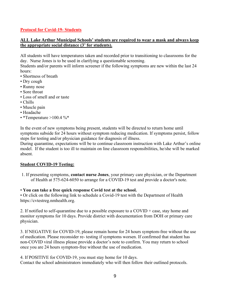# **Protocol for Covid-19- Students**

# **ALL Lake Arthur Municipal Schools' students are required to wear a mask and always keep the appropriate social distance (3' for students).**

All students will have temperatures taken and recorded prior to transitioning to classrooms for the day. Nurse Jones is to be used in clarifying a questionable screening.

Students and/or parents will inform screener if the following symptoms are new within the last 24 hours:

- Shortness of breath
- Dry cough
- Runny nose
- Sore throat
- Loss of smell and or taste
- Chills
- Muscle pain
- Headache
- \*Temperature  $>100.4$  %\*

In the event of new symptoms being present, students will be directed to return home until symptoms subside for 24 hours without symptom reducing medication. If symptoms persist, follow steps for testing and/or physician guidance for diagnosis of illness.

During quarantine, expectations will be to continue classroom instruction with Lake Arthur's online model. If the student is too ill to maintain on line classroom responsibilities, he/she will be marked absent.

#### **Student COVID-19 Testing:**

1. If presenting symptoms, **contact nurse Jones**, your primary care physician, or the Department of Health at 575-624-6050 to arrange for a COVID-19 test and provide a doctor's note.

#### • **You can take a free quick response Covid test at the school.**

• Or click on the following link to schedule a Covid-19 test with the Department of Health https://cvtestreg.nmhealth.org.

2. If notified to self-quarantine due to a possible exposure to a COVID + case, stay home and monitor symptoms for 10 days. Provide district with documentation from DOH or primary care physician.

3. If NEGATIVE for COVID-19, please remain home for 24 hours symptom-free without the use of medication. Please reconsider re- testing if symptoms worsen. If confirmed that student has non-COVID viral illness please provide a doctor's note to confirm. You may return to school once you are 24 hours symptom-free without the use of medication.

4. If POSITIVE for COVID-19, you must stay home for 10 days.

Contact the school administrators immediately who will then follow their outlined protocols.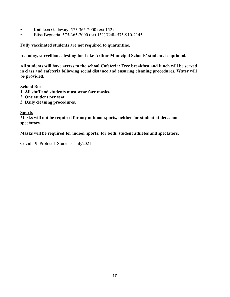- Kathleen Gallaway, 575-365-2000 (ext.152)
- Elisa Begueria, 575-365-2000 (ext.151)/Cell- 575-910-2145

**Fully vaccinated students are not required to quarantine.**

**As today, surveillance testing for Lake Arthur Municipal Schools' students is optional.** 

**All students will have access to the school Cafeteria: Free breakfast and lunch will be served in class and cafeteria following social distance and ensuring cleaning procedures. Water will be provided.**

#### **School Bus**

- **1. All staff and students must wear face masks.**
- **2. One student per seat.**
- **3. Daily cleaning procedures.**

# **Sports**

**Masks will not be required for any outdoor sports, neither for student athletes nor spectators.**

**Masks will be required for indoor sports; for both, student athletes and spectators.** 

Covid-19\_Protocol\_Students\_July2021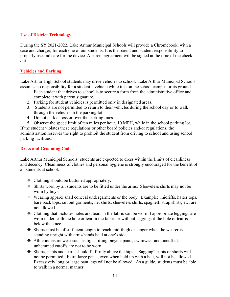# **Use of District Technology**

During the SY 2021-2022, Lake Arthur Municipal Schools will provide a Chromebook, with a case and charger, for each one of our students. It is the parent and student responsibility to properly use and care for the device. A parent agreement will be signed at the time of the check out.

# **Vehicles and Parking**

Lake Arthur High School students may drive vehicles to school. Lake Arthur Municipal Schools assumes no responsibility for a student's vehicle while it is on the school campus or its grounds.

- 1. Each student that drives to school is to secure a form from the administrative office and complete it with parent signature.
- 2. Parking for student vehicles is permitted only in designated areas.
- 3. Students are not permitted to return to their vehicles during the school day or to walk through the vehicles in the parking lot.
- 4. Do not park across or over the parking lines.
- 5. Observe the speed limit of ten miles per hour, 10 MPH, while in the school parking lot. If the student violates these regulations or other board policies and/or regulations, the

administration reserves the right to prohibit the student from driving to school and using school parking facilities.

# **Dress and Grooming Code**

Lake Arthur Municipal Schools' students are expected to dress within the limits of cleanliness and decency. Cleanliness of clothes and personal hygiene is strongly encouraged for the benefit of all students at school.

- ❖ Clothing should be buttoned appropriately.
- ❖ Shirts worn by all students are to be fitted under the arms. Sleeveless shirts may not be worn by boys.
- ❖ Wearing apparel shall conceal undergarments or the body. Example: midriffs, halter tops, bare back tops, cut out garments, net shirts, sleeveless shirts, spaghetti strap shirts, etc. are not allowed.
- ❖ Clothing that includes holes and tears in the fabric can be worn if appropriate leggings are worn underneath the hole or tear in the fabric or without leggings if the hole or tear is below the knee.
- ❖ Shorts must be of sufficient length to reach mid-thigh or longer when the wearer is standing upright with arms/hands held at one's side.
- ❖ Athletic/leisure wear such as tight-fitting bicycle pants, swimwear and uncuffed, unhemmed cutoffs are not to be worn.
- ❖ Shorts, pants and skirts should fit firmly above the hips. "Sagging" pants or shorts will not be permitted. Extra-large pants, even when held up with a belt, will not be allowed. Excessively long or large pant legs will not be allowed. As a guide, students must be able to walk in a normal manner.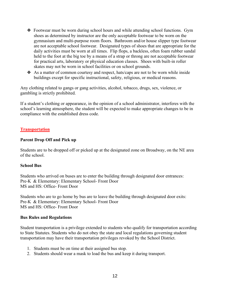- ❖ Footwear must be worn during school hours and while attending school functions. Gym shoes as determined by instructor are the only acceptable footwear to be worn on the gymnasium and multi-purpose room floors. Bathroom and/or house slipper type footwear are not acceptable school footwear. Designated types of shoes that are appropriate for the daily activities must be worn at all times. Flip flops, a backless, often foam rubber sandal held to the foot at the big toe by a means of a strap or throng are not acceptable footwear for practical arts, laboratory or physical education classes. Shoes with built-in roller skates may not be worn in school facilities or on school grounds.
- ❖ As a matter of common courtesy and respect, hats/caps are not to be worn while inside buildings except for specific instructional, safety, religious, or medical reasons.

Any clothing related to gangs or gang activities, alcohol, tobacco, drugs, sex, violence, or gambling is strictly prohibited.

If a student's clothing or appearance, in the opinion of a school administrator, interferes with the school's learning atmosphere, the student will be expected to make appropriate changes to be in compliance with the established dress code.

# **Transportation**

# **Parent Drop Off and Pick up**

Students are to be dropped off or picked up at the designated zone on Broadway, on the NE area of the school.

#### **School Bus**

Students who arrived on buses are to enter the building through designated door entrances: Pre-K & Elementary: Elementary School- Front Door MS and HS: Office- Front Door

Students who are to go home by bus are to leave the building through designated door exits: Pre-K & Elementary: Elementary School- Front Door MS and HS: Office- Front Door

#### **Bus Rules and Regulations**

Student transportation is a privilege extended to students who qualify for transportation according to State Statutes. Students who do not obey the state and local regulations governing student transportation may have their transportation privileges revoked by the School District.

- 1. Students must be on time at their assigned bus stop.
- 2. Students should wear a mask to load the bus and keep it during transport.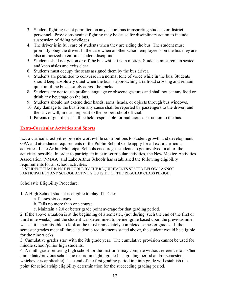- 3. Student fighting is not permitted on any school bus transporting students or district personnel. Provisions against fighting may be cause for disciplinary action to include suspension of riding privileges.
- 4. The driver is in full care of students when they are riding the bus. The student must promptly obey the driver. In the case when another school employee is on the bus they are also authorized to enforce student discipline.
- 5. Students shall not get on or off the bus while it is in motion. Students must remain seated and keep aisles and exits clear.
- 6. Students must occupy the seats assigned them by the bus driver.
- 7. Students are permitted to converse in a normal tone of voice while in the bus. Students should keep absolutely quiet when the bus is approaching a railroad crossing and remain quiet until the bus is safely across the tracks.
- 8. Students are not to use profane language or obscene gestures and shall not eat any food or drink any beverage on the bus.
- 9. Students should not extend their hands, arms, heads, or objects through bus windows.
- 10. Any damage to the bus from any cause shall be reported by passengers to the driver, and the driver will, in turn, report it to the proper school official.
- 11. Parents or guardians shall be held responsible for malicious destruction to the bus.

# **Extra-Curricular Activities and Sports**

Extra-curricular activities provide worthwhile contributions to student growth and development. GPA and attendance requirements of the Public-School Code apply for all extra-curricular activities. Lake Arthur Municipal Schools encourages students to get involved in all of the activities possible. In order to participate in extra-curricular activities, the New Mexico Activities Association (NMAA) and Lake Arthur Schools has established the following eligibility requirements for all school activities.

A STUDENT THAT IS NOT ELIGIBLE BY THE REQUIREMENTS STATED BELOW CANNOT PARTICIPATE IN ANY SCHOOL ACTIVITY OUTSIDE OF THE REGULAR CLASS PERIOD.

Scholastic Eligibility Procedure:

1. A High School student is eligible to play if he/she:

- a. Passes six courses.
- b. Fails no more than one course.
- c. Maintain a 2.0 or better grade point average for that grading period.

2. If the above situation is at the beginning of a semester, (not during, such the end of the first or third nine weeks), and the student was determined to be ineligible based upon the previous nine weeks, it is permissible to look at the most immediately completed semester grades. If the semester grades meet all three academic requirements stated above, the student would be eligible for the nine weeks.

3. Cumulative grades start with the 9th grade year. The cumulative provision cannot be used for middle school/junior high students.

4. A ninth grader entering high school for the first time may compete without reference to his/her immediate/previous scholastic record in eighth grade (last grading period and/or semester, whichever is applicable). The end of the first grading period in ninth grade will establish the point for scholarship eligibility determination for the succeeding grading period.